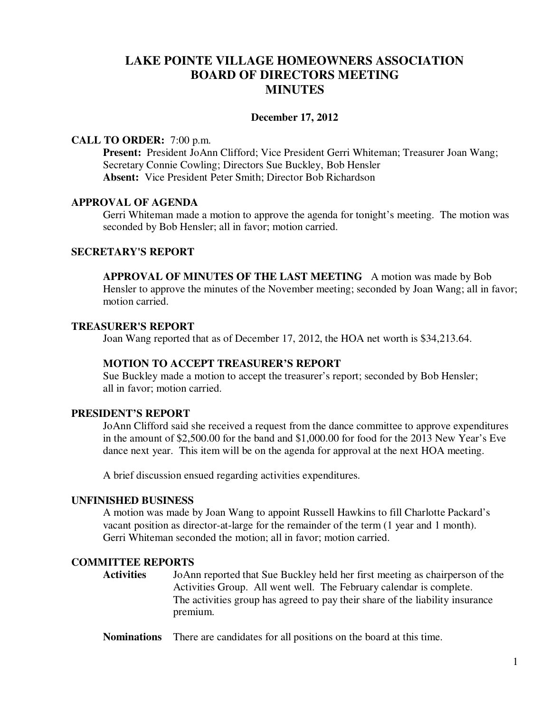# **LAKE POINTE VILLAGE HOMEOWNERS ASSOCIATION BOARD OF DIRECTORS MEETING MINUTES**

#### **December 17, 2012**

### **CALL TO ORDER:** 7:00 p.m.

Present: President JoAnn Clifford; Vice President Gerri Whiteman; Treasurer Joan Wang; Secretary Connie Cowling; Directors Sue Buckley, Bob Hensler **Absent:** Vice President Peter Smith; Director Bob Richardson

### **APPROVAL OF AGENDA**

 Gerri Whiteman made a motion to approve the agenda for tonight's meeting. The motion was seconded by Bob Hensler; all in favor; motion carried.

# **SECRETARY'S REPORT**

**APPROVAL OF MINUTES OF THE LAST MEETING** A motion was made by Bob Hensler to approve the minutes of the November meeting; seconded by Joan Wang; all in favor; motion carried.

### **TREASURER'S REPORT**

Joan Wang reported that as of December 17, 2012, the HOA net worth is \$34,213.64.

# **MOTION TO ACCEPT TREASURER'S REPORT**

Sue Buckley made a motion to accept the treasurer's report; seconded by Bob Hensler; all in favor; motion carried.

# **PRESIDENT'S REPORT**

 JoAnn Clifford said she received a request from the dance committee to approve expenditures in the amount of \$2,500.00 for the band and \$1,000.00 for food for the 2013 New Year's Eve dance next year. This item will be on the agenda for approval at the next HOA meeting.

A brief discussion ensued regarding activities expenditures.

### **UNFINISHED BUSINESS**

A motion was made by Joan Wang to appoint Russell Hawkins to fill Charlotte Packard's vacant position as director-at-large for the remainder of the term (1 year and 1 month). Gerri Whiteman seconded the motion; all in favor; motion carried.

# **COMMITTEE REPORTS**

**Activities** JoAnn reported that Sue Buckley held her first meeting as chairperson of the Activities Group. All went well. The February calendar is complete. The activities group has agreed to pay their share of the liability insurance premium.

**Nominations** There are candidates for all positions on the board at this time.